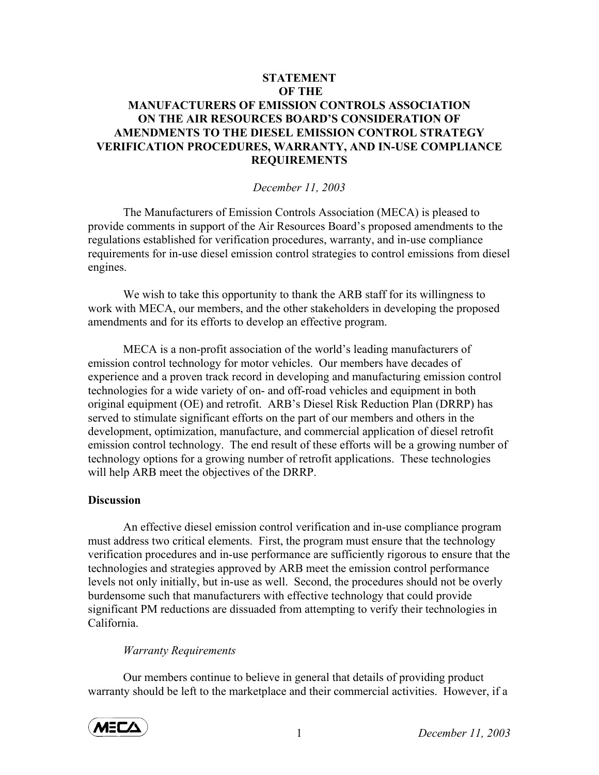## **STATEMENT OF THE MANUFACTURERS OF EMISSION CONTROLS ASSOCIATION ON THE AIR RESOURCES BOARD'S CONSIDERATION OF AMENDMENTS TO THE DIESEL EMISSION CONTROL STRATEGY VERIFICATION PROCEDURES, WARRANTY, AND IN-USE COMPLIANCE REQUIREMENTS**

### *December 11, 2003*

The Manufacturers of Emission Controls Association (MECA) is pleased to provide comments in support of the Air Resources Board's proposed amendments to the regulations established for verification procedures, warranty, and in-use compliance requirements for in-use diesel emission control strategies to control emissions from diesel engines.

We wish to take this opportunity to thank the ARB staff for its willingness to work with MECA, our members, and the other stakeholders in developing the proposed amendments and for its efforts to develop an effective program.

 MECA is a non-profit association of the world's leading manufacturers of emission control technology for motor vehicles. Our members have decades of experience and a proven track record in developing and manufacturing emission control technologies for a wide variety of on- and off-road vehicles and equipment in both original equipment (OE) and retrofit. ARB's Diesel Risk Reduction Plan (DRRP) has served to stimulate significant efforts on the part of our members and others in the development, optimization, manufacture, and commercial application of diesel retrofit emission control technology. The end result of these efforts will be a growing number of technology options for a growing number of retrofit applications. These technologies will help ARB meet the objectives of the DRRP.

### **Discussion**

An effective diesel emission control verification and in-use compliance program must address two critical elements. First, the program must ensure that the technology verification procedures and in-use performance are sufficiently rigorous to ensure that the technologies and strategies approved by ARB meet the emission control performance levels not only initially, but in-use as well. Second, the procedures should not be overly burdensome such that manufacturers with effective technology that could provide significant PM reductions are dissuaded from attempting to verify their technologies in California.

### *Warranty Requirements*

Our members continue to believe in general that details of providing product warranty should be left to the marketplace and their commercial activities. However, if a

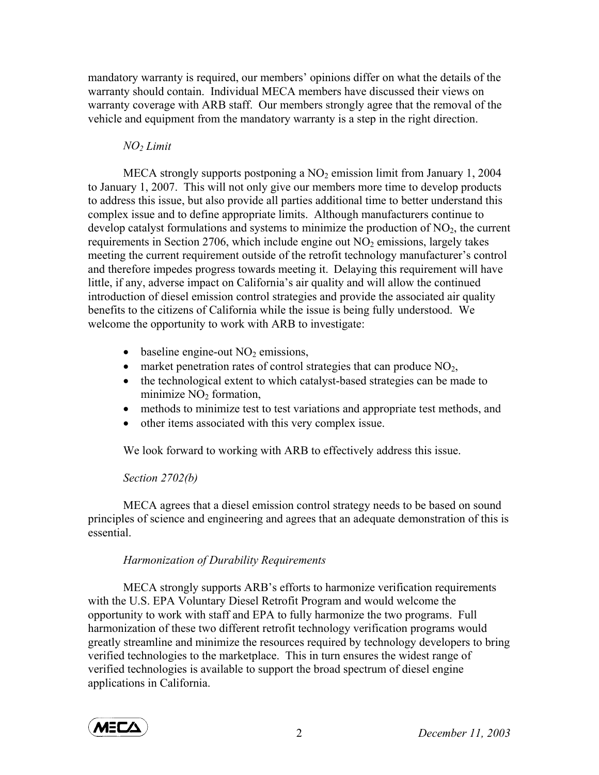mandatory warranty is required, our members' opinions differ on what the details of the warranty should contain. Individual MECA members have discussed their views on warranty coverage with ARB staff. Our members strongly agree that the removal of the vehicle and equipment from the mandatory warranty is a step in the right direction.

## *NO2 Limit*

MECA strongly supports postponing a  $NO<sub>2</sub>$  emission limit from January 1, 2004 to January 1, 2007. This will not only give our members more time to develop products to address this issue, but also provide all parties additional time to better understand this complex issue and to define appropriate limits. Although manufacturers continue to develop catalyst formulations and systems to minimize the production of  $NO<sub>2</sub>$ , the current requirements in Section 2706, which include engine out  $NO<sub>2</sub>$  emissions, largely takes meeting the current requirement outside of the retrofit technology manufacturer's control and therefore impedes progress towards meeting it. Delaying this requirement will have little, if any, adverse impact on California's air quality and will allow the continued introduction of diesel emission control strategies and provide the associated air quality benefits to the citizens of California while the issue is being fully understood. We welcome the opportunity to work with ARB to investigate:

- baseline engine-out  $NO<sub>2</sub>$  emissions,
- market penetration rates of control strategies that can produce  $NO<sub>2</sub>$ ,
- the technological extent to which catalyst-based strategies can be made to minimize  $NO<sub>2</sub>$  formation,
- methods to minimize test to test variations and appropriate test methods, and
- other items associated with this very complex issue.

We look forward to working with ARB to effectively address this issue.

# *Section 2702(b)*

MECA agrees that a diesel emission control strategy needs to be based on sound principles of science and engineering and agrees that an adequate demonstration of this is essential.

# *Harmonization of Durability Requirements*

MECA strongly supports ARB's efforts to harmonize verification requirements with the U.S. EPA Voluntary Diesel Retrofit Program and would welcome the opportunity to work with staff and EPA to fully harmonize the two programs. Full harmonization of these two different retrofit technology verification programs would greatly streamline and minimize the resources required by technology developers to bring verified technologies to the marketplace. This in turn ensures the widest range of verified technologies is available to support the broad spectrum of diesel engine applications in California.